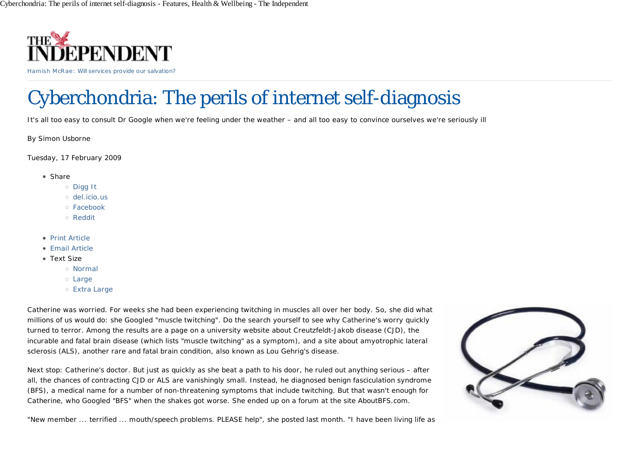

Hamish McRae: Will services provide our salvation?

# Cyberchondria: The perils of internet self-diagnosis

It's all too easy to consult Dr Google when we're feeling under the weather – and all too easy to convince ourselves we're seriously ill

By Simon Usborne

*Tuesday, 17 February 2009*

- Share
	- Digg It
	- del.icio.us
	- Facebook
	- Reddit
- Print Article
- Email Article
- Text Size
	- Normal
	- Large
	- Extra Large

Catherine was worried. For weeks she had been experiencing twitching in muscles all over her body. So, she did what millions of us would do: she Googled "muscle twitching". Do the search yourself to see why Catherine's worry quickly turned to terror. Among the results are a page on a university website about Creutzfeldt-Jakob disease (CJD), the incurable and fatal brain disease (which lists "muscle twitching" as a symptom), and a site about amyotrophic lateral sclerosis (ALS), another rare and fatal brain condition, also known as Lou Gehrig's disease.

Next stop: Catherine's doctor. But just as quickly as she beat a path to his door, he ruled out anything serious – after all, the chances of contracting CJD or ALS are vanishingly small. Instead, he diagnosed benign fasciculation syndrome (BFS), a medical name for a number of non-threatening symptoms that include twitching. But that wasn't enough for Catherine, who Googled "BFS" when the shakes got worse. She ended up on a forum at the site AboutBFS.com.



"New member ... terrified ... mouth/speech problems. PLEASE help", she posted last month. "I have been living life as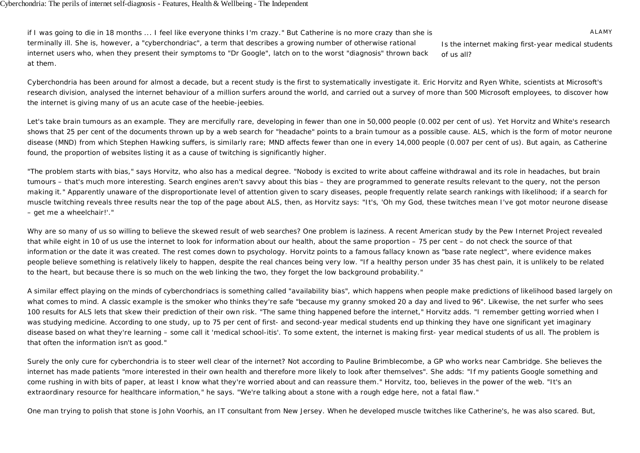ALAMY *Is the internet making first-year medical students of us all?* if I was going to die in 18 months ... I feel like everyone thinks I'm crazy." But Catherine is no more crazy than she is terminally ill. She is, however, a "cyberchondriac", a term that describes a growing number of otherwise rational internet users who, when they present their symptoms to "Dr Google", latch on to the worst "diagnosis" thrown back at them.

Cyberchondria has been around for almost a decade, but a recent study is the first to systematically investigate it. Eric Horvitz and Ryen White, scientists at Microsoft's research division, analysed the internet behaviour of a million surfers around the world, and carried out a survey of more than 500 Microsoft employees, to discover how the internet is giving many of us an acute case of the heebie-jeebies.

Let's take brain tumours as an example. They are mercifully rare, developing in fewer than one in 50,000 people (0.002 per cent of us). Yet Horvitz and White's research shows that 25 per cent of the documents thrown up by a web search for "headache" points to a brain tumour as a possible cause. ALS, which is the form of motor neurone disease (MND) from which Stephen Hawking suffers, is similarly rare; MND affects fewer than one in every 14,000 people (0.007 per cent of us). But again, as Catherine found, the proportion of websites listing it as a cause of twitching is significantly higher.

"The problem starts with bias," says Horvitz, who also has a medical degree. "Nobody is excited to write about caffeine withdrawal and its role in headaches, but brain tumours – that's much more interesting. Search engines aren't savvy about this bias – they are programmed to generate results relevant to the query, not the person making it." Apparently unaware of the disproportionate level of attention given to scary diseases, people frequently relate search rankings with likelihood; if a search for muscle twitching reveals three results near the top of the page about ALS, then, as Horvitz says: "It's, 'Oh my God, these twitches mean I've got motor neurone disease – get me a wheelchair!'."

Why are so many of us so willing to believe the skewed result of web searches? One problem is laziness. A recent American study by the Pew Internet Project revealed that while eight in 10 of us use the internet to look for information about our health, about the same proportion – 75 per cent – do not check the source of that information or the date it was created. The rest comes down to psychology. Horvitz points to a famous fallacy known as "base rate neglect", where evidence makes people believe something is relatively likely to happen, despite the real chances being very low. "If a healthy person under 35 has chest pain, it is unlikely to be related to the heart, but because there is so much on the web linking the two, they forget the low background probability."

A similar effect playing on the minds of cyberchondriacs is something called "availability bias", which happens when people make predictions of likelihood based largely on what comes to mind. A classic example is the smoker who thinks they're safe "because my granny smoked 20 a day and lived to 96". Likewise, the net surfer who sees 100 results for ALS lets that skew their prediction of their own risk. "The same thing happened before the internet," Horvitz adds. "I remember getting worried when I was studying medicine. According to one study, up to 75 per cent of first- and second-year medical students end up thinking they have one significant yet imaginary disease based on what they're learning – some call it 'medical school-itis'. To some extent, the internet is making first- year medical students of us all. The problem is that often the information isn't as good."

Surely the only cure for cyberchondria is to steer well clear of the internet? Not according to Pauline Brimblecombe, a GP who works near Cambridge. She believes the internet has made patients "more interested in their own health and therefore more likely to look after themselves". She adds: "If my patients Google something and come rushing in with bits of paper, at least I know what they're worried about and can reassure them." Horvitz, too, believes in the power of the web. "It's an extraordinary resource for healthcare information," he says. "We're talking about a stone with a rough edge here, not a fatal flaw."

One man trying to polish that stone is John Voorhis, an IT consultant from New Jersey. When he developed muscle twitches like Catherine's, he was also scared. But,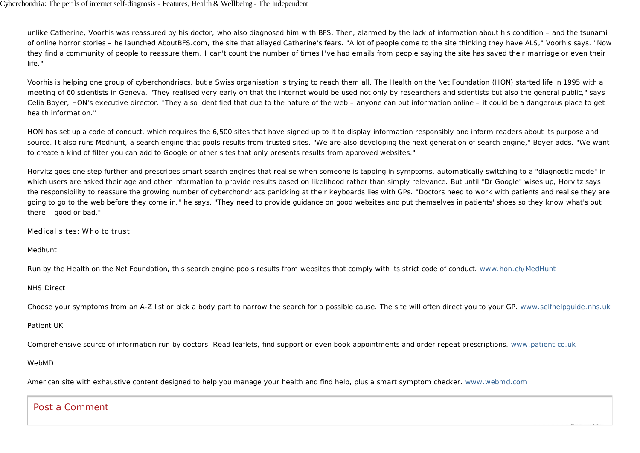#### Cyberchondria: The perils of internet self-diagnosis - Features, Health & Wellbeing - The Independent

unlike Catherine, Voorhis was reassured by his doctor, who also diagnosed him with BFS. Then, alarmed by the lack of information about his condition – and the tsunami of online horror stories – he launched AboutBFS.com, the site that allayed Catherine's fears. "A lot of people come to the site thinking they have ALS," Voorhis says. "Now they find a community of people to reassure them. I can't count the number of times I've had emails from people saying the site has saved their marriage or even their life."

Voorhis is helping one group of cyberchondriacs, but a Swiss organisation is trying to reach them all. The Health on the Net Foundation (HON) started life in 1995 with a meeting of 60 scientists in Geneva. "They realised very early on that the internet would be used not only by researchers and scientists but also the general public," says Celia Boyer, HON's executive director. "They also identified that due to the nature of the web – anyone can put information online – it could be a dangerous place to get health information."

HON has set up a code of conduct, which requires the 6,500 sites that have signed up to it to display information responsibly and inform readers about its purpose and source. It also runs Medhunt, a search engine that pools results from trusted sites. "We are also developing the next generation of search engine," Boyer adds. "We want to create a kind of filter you can add to Google or other sites that only presents results from approved websites."

Horvitz goes one step further and prescribes smart search engines that realise when someone is tapping in symptoms, automatically switching to a "diagnostic mode" in which users are asked their age and other information to provide results based on likelihood rather than simply relevance. But until "Dr Google" wises up, Horvitz says the responsibility to reassure the growing number of cyberchondriacs panicking at their keyboards lies with GPs. "Doctors need to work with patients and realise they are going to go to the web before they come in," he says. "They need to provide guidance on good websites and put themselves in patients' shoes so they know what's out there – good or bad."

## Medical sites: Who to trust

## *Medhunt*

Run by the Health on the Net Foundation, this search engine pools results from websites that comply with its strict code of conduct. www.hon.ch/MedHunt

## *NHS Direct*

Choose your symptoms from an A-Z list or pick a body part to narrow the search for a possible cause. The site will often direct you to your GP. www.selfhelpguide.nhs.uk

## *Patient UK*

Comprehensive source of information run by doctors. Read leaflets, find support or even book appointments and order repeat prescriptions. www.patient.co.uk

## *WebMD*

American site with exhaustive content designed to help you manage your health and find help, plus a smart symptom checker. www.webmd.com

# Post a Comment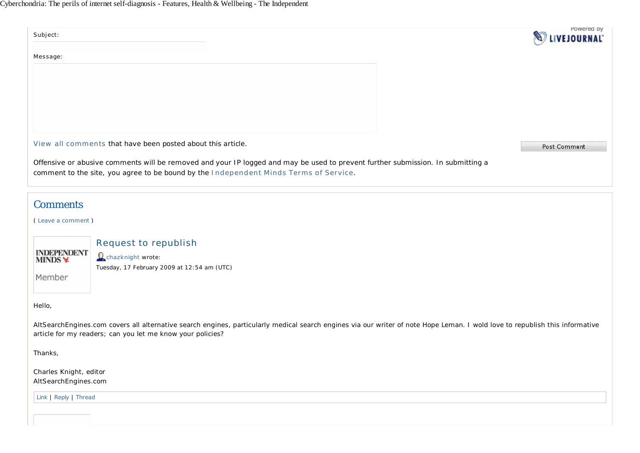| Subject:                                                                                                                                                                                                                                   |                                             | Powered by<br><b>EJOURNAL</b> |
|--------------------------------------------------------------------------------------------------------------------------------------------------------------------------------------------------------------------------------------------|---------------------------------------------|-------------------------------|
| Message:                                                                                                                                                                                                                                   |                                             |                               |
|                                                                                                                                                                                                                                            |                                             |                               |
|                                                                                                                                                                                                                                            |                                             |                               |
|                                                                                                                                                                                                                                            |                                             |                               |
|                                                                                                                                                                                                                                            |                                             |                               |
| View all comments that have been posted about this article.<br>Post Comment                                                                                                                                                                |                                             |                               |
| Offensive or abusive comments will be removed and your IP logged and may be used to prevent further submission. In submitting a<br>comment to the site, you agree to be bound by the Independent Minds Terms of Service.                   |                                             |                               |
| <b>Comments</b>                                                                                                                                                                                                                            |                                             |                               |
| (Leave a comment)                                                                                                                                                                                                                          |                                             |                               |
|                                                                                                                                                                                                                                            | <b>Request to republish</b>                 |                               |
| <b>INDEPENDENT</b><br>MINDS <del>¥</del>                                                                                                                                                                                                   | Cchazknight wrote:                          |                               |
| Member                                                                                                                                                                                                                                     | Tuesday, 17 February 2009 at 12:54 am (UTC) |                               |
|                                                                                                                                                                                                                                            |                                             |                               |
| Hello,                                                                                                                                                                                                                                     |                                             |                               |
| AltSearchEngines.com covers all alternative search engines, particularly medical search engines via our writer of note Hope Leman. I wold love to republish this informative<br>article for my readers; can you let me know your policies? |                                             |                               |
| Thanks,                                                                                                                                                                                                                                    |                                             |                               |
| Charles Knight, editor<br>AltSearchEngines.com                                                                                                                                                                                             |                                             |                               |
| Link   Reply   Thread                                                                                                                                                                                                                      |                                             |                               |
|                                                                                                                                                                                                                                            |                                             |                               |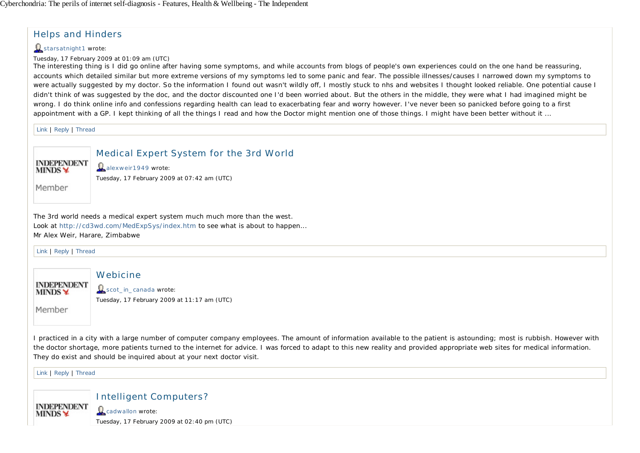# Helps and Hinders

## $\Omega$  starsatnight1 wrote:

Tuesday, 17 February 2009 at 01:09 am (UTC)

The interesting thing is I did go online after having some symptoms, and while accounts from blogs of people's own experiences could on the one hand be reassuring, accounts which detailed similar but more extreme versions of my symptoms led to some panic and fear. The possible illnesses/causes I narrowed down my symptoms to were actually suggested by my doctor. So the information I found out wasn't wildly off. I mostly stuck to nhs and websites I thought looked reliable. One potential cause I didn't think of was suggested by the doc, and the doctor discounted one I'd been worried about. But the others in the middle, they were what I had imagined might be wrong. I do think online info and confessions regarding health can lead to exacerbating fear and worry however. I've never been so panicked before going to a first appointment with a GP. I kept thinking of all the things I read and how the Doctor might mention one of those things. I might have been better without it ...

Link | Reply | Thread



Medical Expert System for the 3rd World

**Q** alexweir1949 wrote: Tuesday, 17 February 2009 at 07:42 am (UTC)

Member

The 3rd world needs a medical expert system much much more than the west. Look at http://cd3wd.com/MedExpSys/index.htm to see what is about to happen... Mr Alex Weir, Harare, Zimbabwe

Link | Reply | Thread

**Webicine INDEPENDENT Q** scot\_in\_canada wrote: **MINDS** Tuesday, 17 February 2009 at 11:17 am (UTC)

Member

I practiced in a city with a large number of computer company employees. The amount of information available to the patient is astounding; most is rubbish. However with the doctor shortage, more patients turned to the internet for advice. I was forced to adapt to this new reality and provided appropriate web sites for medical information. They do exist and should be inquired about at your next doctor visit.

Link | Reply | Thread

**INDEPENDENT MINDS** 

Intelligent Computers? **Q** cadwallon wrote: Tuesday, 17 February 2009 at 02:40 pm (UTC)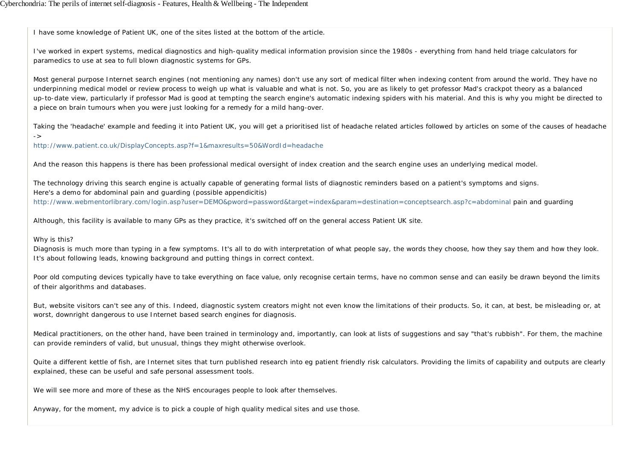I have some knowledge of Patient UK, one of the sites listed at the bottom of the article.

I've worked in expert systems, medical diagnostics and high-quality medical information provision since the 1980s - everything from hand held triage calculators for paramedics to use at sea to full blown diagnostic systems for GPs.

Most general purpose Internet search engines (not mentioning any names) don't use any sort of medical filter when indexing content from around the world. They have no underpinning medical model or review process to weigh up what is valuable and what is not. So, you are as likely to get professor Mad's crackpot theory as a balanced up-to-date view, particularly if professor Mad is good at tempting the search engine's automatic indexing spiders with his material. And this is why you might be directed to a piece on brain tumours when you were just looking for a remedy for a mild hang-over.

Taking the 'headache' example and feeding it into Patient UK, you will get a prioritised list of headache related articles followed by articles on some of the causes of headache

http://www.patient.co.uk/DisplayConcepts.asp?f=1&maxresults=50&WordId=headache

And the reason this happens is there has been professional medical oversight of index creation and the search engine uses an underlying medical model.

The technology driving this search engine is actually capable of generating formal lists of diagnostic reminders based on a patient's symptoms and signs. Here's a demo for abdominal pain and guarding (possible appendicitis) http://www.webmentorlibrary.com/login.asp?user=DEMO&pword=password&target=index&param=destination=conceptsearch.asp?c=abdominal pain and quarding

Although, this facility is available to many GPs as they practice, it's switched off on the general access Patient UK site.

## Why is this?

->

Diagnosis is much more than typing in a few symptoms. It's all to do with interpretation of what people say, the words they choose, how they say them and how they look. It's about following leads, knowing background and putting things in correct context.

Poor old computing devices typically have to take everything on face value, only recognise certain terms, have no common sense and can easily be drawn beyond the limits of their algorithms and databases.

But, website visitors can't see any of this. Indeed, diagnostic system creators might not even know the limitations of their products. So, it can, at best, be misleading or, at worst, downright dangerous to use Internet based search engines for diagnosis.

Medical practitioners, on the other hand, have been trained in terminology and, importantly, can look at lists of suggestions and say "that's rubbish". For them, the machine can provide reminders of valid, but unusual, things they might otherwise overlook.

Quite a different kettle of fish, are Internet sites that turn published research into eg patient friendly risk calculators. Providing the limits of capability and outputs are clearly explained, these can be useful and safe personal assessment tools.

We will see more and more of these as the NHS encourages people to look after themselves.

Anyway, for the moment, my advice is to pick a couple of high quality medical sites and use those.